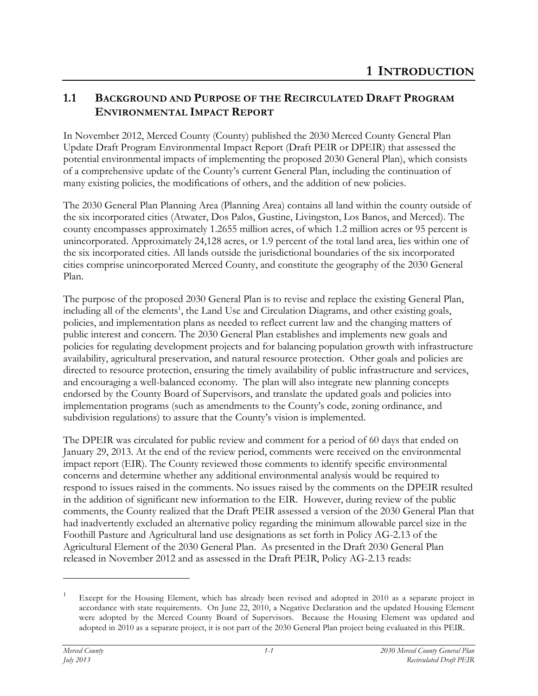## **1.1 BACKGROUND AND PURPOSE OF THE RECIRCULATED DRAFT PROGRAM ENVIRONMENTAL IMPACT REPORT**

In November 2012, Merced County (County) published the 2030 Merced County General Plan Update Draft Program Environmental Impact Report (Draft PEIR or DPEIR) that assessed the potential environmental impacts of implementing the proposed 2030 General Plan), which consists of a comprehensive update of the County's current General Plan, including the continuation of many existing policies, the modifications of others, and the addition of new policies.

The 2030 General Plan Planning Area (Planning Area) contains all land within the county outside of the six incorporated cities (Atwater, Dos Palos, Gustine, Livingston, Los Banos, and Merced). The county encompasses approximately 1.2655 million acres, of which 1.2 million acres or 95 percent is unincorporated. Approximately 24,128 acres, or 1.9 percent of the total land area, lies within one of the six incorporated cities. All lands outside the jurisdictional boundaries of the six incorporated cities comprise unincorporated Merced County, and constitute the geography of the 2030 General Plan.

The purpose of the proposed 2030 General Plan is to revise and replace the existing General Plan, including all of the elements<sup>1</sup>, the Land Use and Circulation Diagrams, and other existing goals, policies, and implementation plans as needed to reflect current law and the changing matters of public interest and concern. The 2030 General Plan establishes and implements new goals and policies for regulating development projects and for balancing population growth with infrastructure availability, agricultural preservation, and natural resource protection. Other goals and policies are directed to resource protection, ensuring the timely availability of public infrastructure and services, and encouraging a well-balanced economy. The plan will also integrate new planning concepts endorsed by the County Board of Supervisors, and translate the updated goals and policies into implementation programs (such as amendments to the County's code, zoning ordinance, and subdivision regulations) to assure that the County's vision is implemented.

The DPEIR was circulated for public review and comment for a period of 60 days that ended on January 29, 2013. At the end of the review period, comments were received on the environmental impact report (EIR). The County reviewed those comments to identify specific environmental concerns and determine whether any additional environmental analysis would be required to respond to issues raised in the comments. No issues raised by the comments on the DPEIR resulted in the addition of significant new information to the EIR. However, during review of the public comments, the County realized that the Draft PEIR assessed a version of the 2030 General Plan that had inadvertently excluded an alternative policy regarding the minimum allowable parcel size in the Foothill Pasture and Agricultural land use designations as set forth in Policy AG-2.13 of the Agricultural Element of the 2030 General Plan. As presented in the Draft 2030 General Plan released in November 2012 and as assessed in the Draft PEIR, Policy AG-2.13 reads:

 $\overline{a}$ 

Except for the Housing Element, which has already been revised and adopted in 2010 as a separate project in accordance with state requirements. On June 22, 2010, a Negative Declaration and the updated Housing Element were adopted by the Merced County Board of Supervisors. Because the Housing Element was updated and adopted in 2010 as a separate project, it is not part of the 2030 General Plan project being evaluated in this PEIR.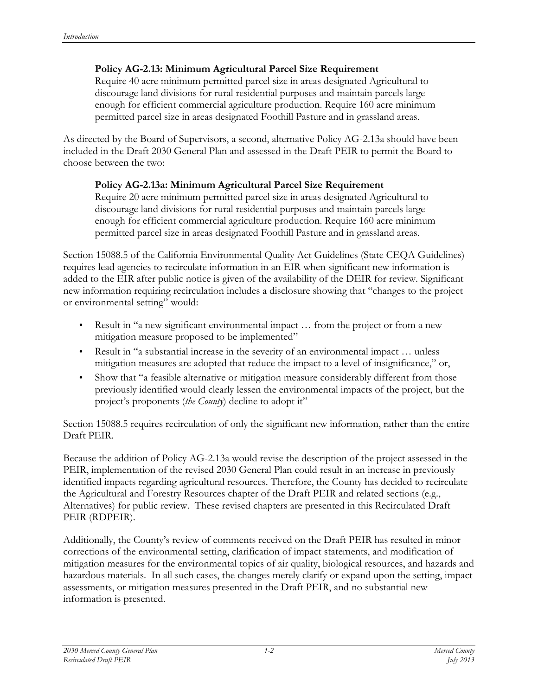#### **Policy AG-2.13: Minimum Agricultural Parcel Size Requirement**

Require 40 acre minimum permitted parcel size in areas designated Agricultural to discourage land divisions for rural residential purposes and maintain parcels large enough for efficient commercial agriculture production. Require 160 acre minimum permitted parcel size in areas designated Foothill Pasture and in grassland areas.

As directed by the Board of Supervisors, a second, alternative Policy AG-2.13a should have been included in the Draft 2030 General Plan and assessed in the Draft PEIR to permit the Board to choose between the two:

### **Policy AG-2.13a: Minimum Agricultural Parcel Size Requirement**

Require 20 acre minimum permitted parcel size in areas designated Agricultural to discourage land divisions for rural residential purposes and maintain parcels large enough for efficient commercial agriculture production. Require 160 acre minimum permitted parcel size in areas designated Foothill Pasture and in grassland areas.

Section 15088.5 of the California Environmental Quality Act Guidelines (State CEQA Guidelines) requires lead agencies to recirculate information in an EIR when significant new information is added to the EIR after public notice is given of the availability of the DEIR for review. Significant new information requiring recirculation includes a disclosure showing that "changes to the project or environmental setting" would:

- Result in "a new significant environmental impact ... from the project or from a new mitigation measure proposed to be implemented"
- Result in "a substantial increase in the severity of an environmental impact ... unless mitigation measures are adopted that reduce the impact to a level of insignificance," or,
- Show that "a feasible alternative or mitigation measure considerably different from those previously identified would clearly lessen the environmental impacts of the project, but the project's proponents (*the County*) decline to adopt it"

Section 15088.5 requires recirculation of only the significant new information, rather than the entire Draft PEIR.

Because the addition of Policy AG-2.13a would revise the description of the project assessed in the PEIR, implementation of the revised 2030 General Plan could result in an increase in previously identified impacts regarding agricultural resources. Therefore, the County has decided to recirculate the Agricultural and Forestry Resources chapter of the Draft PEIR and related sections (e.g., Alternatives) for public review. These revised chapters are presented in this Recirculated Draft PEIR (RDPEIR).

Additionally, the County's review of comments received on the Draft PEIR has resulted in minor corrections of the environmental setting, clarification of impact statements, and modification of mitigation measures for the environmental topics of air quality, biological resources, and hazards and hazardous materials. In all such cases, the changes merely clarify or expand upon the setting, impact assessments, or mitigation measures presented in the Draft PEIR, and no substantial new information is presented.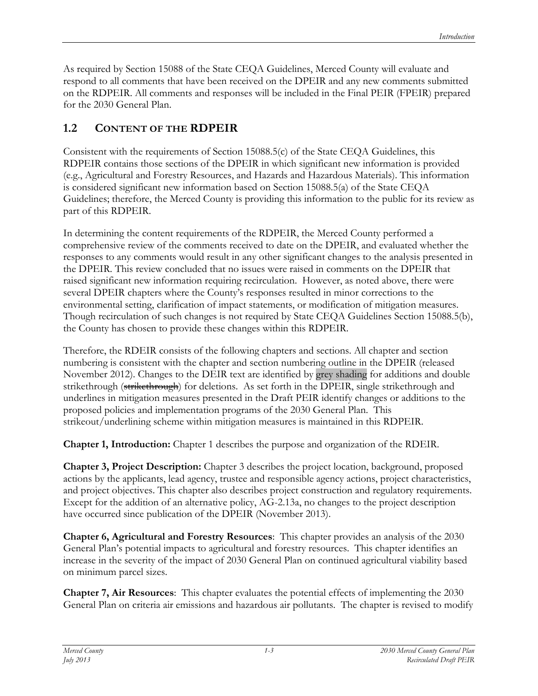As required by Section 15088 of the State CEQA Guidelines, Merced County will evaluate and respond to all comments that have been received on the DPEIR and any new comments submitted on the RDPEIR. All comments and responses will be included in the Final PEIR (FPEIR) prepared for the 2030 General Plan.

# **1.2 CONTENT OF THE RDPEIR**

Consistent with the requirements of Section 15088.5(c) of the State CEQA Guidelines, this RDPEIR contains those sections of the DPEIR in which significant new information is provided (e.g., Agricultural and Forestry Resources, and Hazards and Hazardous Materials). This information is considered significant new information based on Section 15088.5(a) of the State CEQA Guidelines; therefore, the Merced County is providing this information to the public for its review as part of this RDPEIR.

In determining the content requirements of the RDPEIR, the Merced County performed a comprehensive review of the comments received to date on the DPEIR, and evaluated whether the responses to any comments would result in any other significant changes to the analysis presented in the DPEIR. This review concluded that no issues were raised in comments on the DPEIR that raised significant new information requiring recirculation. However, as noted above, there were several DPEIR chapters where the County's responses resulted in minor corrections to the environmental setting, clarification of impact statements, or modification of mitigation measures. Though recirculation of such changes is not required by State CEQA Guidelines Section 15088.5(b), the County has chosen to provide these changes within this RDPEIR.

Therefore, the RDEIR consists of the following chapters and sections. All chapter and section numbering is consistent with the chapter and section numbering outline in the DPEIR (released November 2012). Changes to the DEIR text are identified by grey shading for additions and double strikethrough (strikethrough) for deletions. As set forth in the DPEIR, single strikethrough and underlines in mitigation measures presented in the Draft PEIR identify changes or additions to the proposed policies and implementation programs of the 2030 General Plan. This strikeout/underlining scheme within mitigation measures is maintained in this RDPEIR.

**Chapter 1, Introduction:** Chapter 1 describes the purpose and organization of the RDEIR.

**Chapter 3, Project Description:** Chapter 3 describes the project location, background, proposed actions by the applicants, lead agency, trustee and responsible agency actions, project characteristics, and project objectives. This chapter also describes project construction and regulatory requirements. Except for the addition of an alternative policy, AG-2.13a, no changes to the project description have occurred since publication of the DPEIR (November 2013).

**Chapter 6, Agricultural and Forestry Resources**: This chapter provides an analysis of the 2030 General Plan's potential impacts to agricultural and forestry resources. This chapter identifies an increase in the severity of the impact of 2030 General Plan on continued agricultural viability based on minimum parcel sizes.

**Chapter 7, Air Resources**: This chapter evaluates the potential effects of implementing the 2030 General Plan on criteria air emissions and hazardous air pollutants. The chapter is revised to modify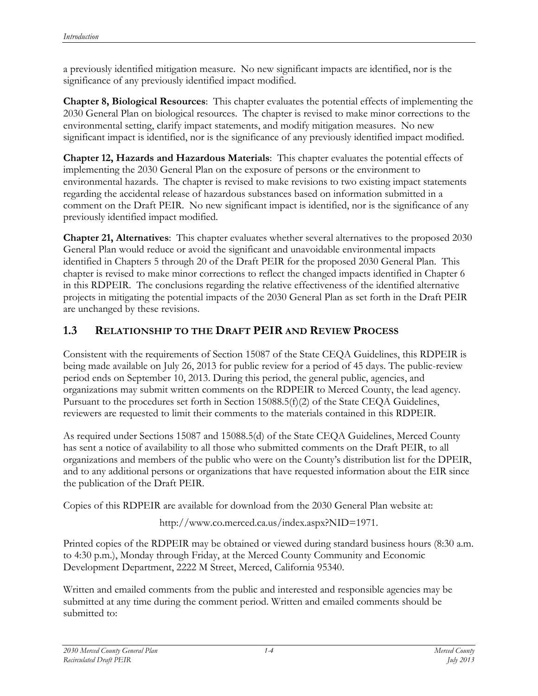a previously identified mitigation measure. No new significant impacts are identified, nor is the significance of any previously identified impact modified.

**Chapter 8, Biological Resources**: This chapter evaluates the potential effects of implementing the 2030 General Plan on biological resources. The chapter is revised to make minor corrections to the environmental setting, clarify impact statements, and modify mitigation measures. No new significant impact is identified, nor is the significance of any previously identified impact modified.

**Chapter 12, Hazards and Hazardous Materials**: This chapter evaluates the potential effects of implementing the 2030 General Plan on the exposure of persons or the environment to environmental hazards. The chapter is revised to make revisions to two existing impact statements regarding the accidental release of hazardous substances based on information submitted in a comment on the Draft PEIR. No new significant impact is identified, nor is the significance of any previously identified impact modified.

**Chapter 21, Alternatives**: This chapter evaluates whether several alternatives to the proposed 2030 General Plan would reduce or avoid the significant and unavoidable environmental impacts identified in Chapters 5 through 20 of the Draft PEIR for the proposed 2030 General Plan. This chapter is revised to make minor corrections to reflect the changed impacts identified in Chapter 6 in this RDPEIR. The conclusions regarding the relative effectiveness of the identified alternative projects in mitigating the potential impacts of the 2030 General Plan as set forth in the Draft PEIR are unchanged by these revisions.

## **1.3 RELATIONSHIP TO THE DRAFT PEIR AND REVIEW PROCESS**

Consistent with the requirements of Section 15087 of the State CEQA Guidelines, this RDPEIR is being made available on July 26, 2013 for public review for a period of 45 days. The public-review period ends on September 10, 2013. During this period, the general public, agencies, and organizations may submit written comments on the RDPEIR to Merced County, the lead agency. Pursuant to the procedures set forth in Section 15088.5(f)(2) of the State CEQA Guidelines, reviewers are requested to limit their comments to the materials contained in this RDPEIR.

As required under Sections 15087 and 15088.5(d) of the State CEQA Guidelines, Merced County has sent a notice of availability to all those who submitted comments on the Draft PEIR, to all organizations and members of the public who were on the County's distribution list for the DPEIR, and to any additional persons or organizations that have requested information about the EIR since the publication of the Draft PEIR.

Copies of this RDPEIR are available for download from the 2030 General Plan website at:

http://www.co.merced.ca.us/index.aspx?NID=1971.

Printed copies of the RDPEIR may be obtained or viewed during standard business hours (8:30 a.m. to 4:30 p.m.), Monday through Friday, at the Merced County Community and Economic Development Department, 2222 M Street, Merced, California 95340.

Written and emailed comments from the public and interested and responsible agencies may be submitted at any time during the comment period. Written and emailed comments should be submitted to: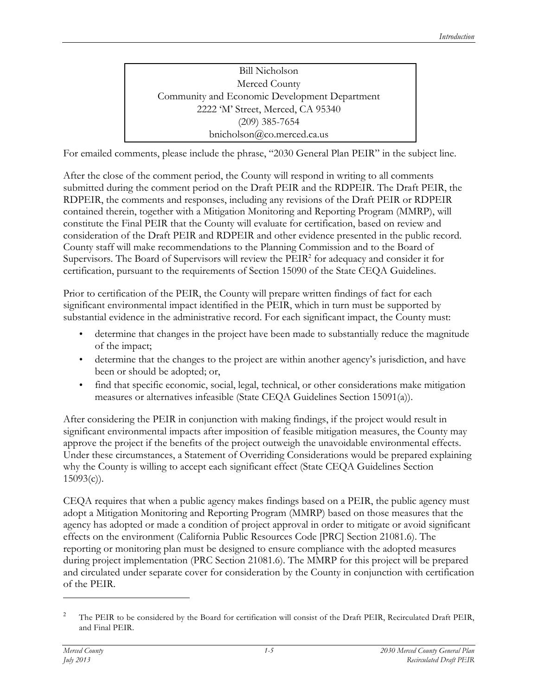Bill Nicholson Merced County Community and Economic Development Department 2222 'M' Street, Merced, CA 95340 (209) 385-7654 bnicholson@co.merced.ca.us

For emailed comments, please include the phrase, "2030 General Plan PEIR" in the subject line.

After the close of the comment period, the County will respond in writing to all comments submitted during the comment period on the Draft PEIR and the RDPEIR. The Draft PEIR, the RDPEIR, the comments and responses, including any revisions of the Draft PEIR or RDPEIR contained therein, together with a Mitigation Monitoring and Reporting Program (MMRP), will constitute the Final PEIR that the County will evaluate for certification, based on review and consideration of the Draft PEIR and RDPEIR and other evidence presented in the public record. County staff will make recommendations to the Planning Commission and to the Board of Supervisors. The Board of Supervisors will review the PEIR<sup>2</sup> for adequacy and consider it for certification, pursuant to the requirements of Section 15090 of the State CEQA Guidelines.

Prior to certification of the PEIR, the County will prepare written findings of fact for each significant environmental impact identified in the PEIR, which in turn must be supported by substantial evidence in the administrative record. For each significant impact, the County must:

- determine that changes in the project have been made to substantially reduce the magnitude of the impact;
- determine that the changes to the project are within another agency's jurisdiction, and have been or should be adopted; or,
- find that specific economic, social, legal, technical, or other considerations make mitigation measures or alternatives infeasible (State CEQA Guidelines Section 15091(a)).

After considering the PEIR in conjunction with making findings, if the project would result in significant environmental impacts after imposition of feasible mitigation measures, the County may approve the project if the benefits of the project outweigh the unavoidable environmental effects. Under these circumstances, a Statement of Overriding Considerations would be prepared explaining why the County is willing to accept each significant effect (State CEQA Guidelines Section  $15093(c)$ ).

CEQA requires that when a public agency makes findings based on a PEIR, the public agency must adopt a Mitigation Monitoring and Reporting Program (MMRP) based on those measures that the agency has adopted or made a condition of project approval in order to mitigate or avoid significant effects on the environment (California Public Resources Code [PRC] Section 21081.6). The reporting or monitoring plan must be designed to ensure compliance with the adopted measures during project implementation (PRC Section 21081.6). The MMRP for this project will be prepared and circulated under separate cover for consideration by the County in conjunction with certification of the PEIR.

 $\overline{a}$ 

<sup>&</sup>lt;sup>2</sup> The PEIR to be considered by the Board for certification will consist of the Draft PEIR, Recirculated Draft PEIR, and Final PEIR.